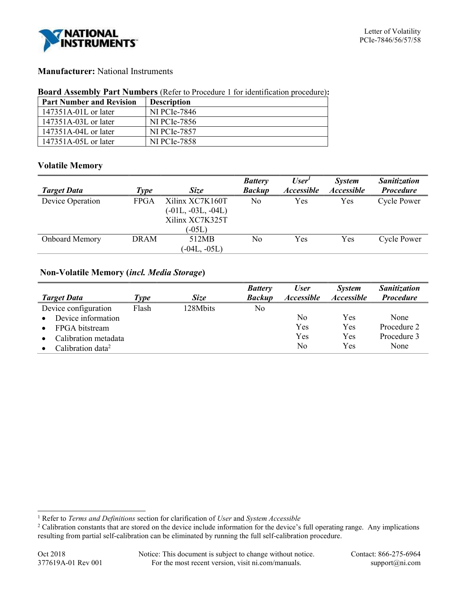

# Manufacturer: National Instruments

### Board Assembly Part Numbers (Refer to Procedure 1 for identification procedure):

| <b>Part Number and Revision</b> | <b>Description</b>  |
|---------------------------------|---------------------|
| $147351A-01L$ or later          | <b>NI PCIe-7846</b> |
| 147351A-03L or later            | NI PCIe-7856        |
| $147351A-04L$ or later          | <b>NI PCIe-7857</b> |
| 147351A-05L or later            | <b>NI PCIe-7858</b> |

## Volatile Memory

|                       |             |                      | <b>Battery</b> | User <sup>1</sup>        | <i>System</i>     | <b>Sanitization</b> |
|-----------------------|-------------|----------------------|----------------|--------------------------|-------------------|---------------------|
| <b>Target Data</b>    | <b>Type</b> | <b>Size</b>          | <b>Backup</b>  | <i><b>Accessible</b></i> | <b>Accessible</b> | <b>Procedure</b>    |
| Device Operation      | <b>FPGA</b> | Xilinx XC7K160T      | No             | Yes                      | Yes               | <b>Cycle Power</b>  |
|                       |             | $(-01L, -03L, -04L)$ |                |                          |                   |                     |
|                       |             | Xilinx XC7K325T      |                |                          |                   |                     |
|                       |             | $(-05L)$             |                |                          |                   |                     |
| <b>Onboard Memory</b> | <b>DRAM</b> | 512MB                | No             | Yes                      | Yes               | <b>Cycle Power</b>  |
|                       |             | $(-04L, -05L)$       |                |                          |                   |                     |

# Non-Volatile Memory (incl. Media Storage)

|                                   |             |             | <b>Battery</b> | <b>User</b>              | <i>System</i>            | <b>Sanitization</b> |
|-----------------------------------|-------------|-------------|----------------|--------------------------|--------------------------|---------------------|
| <b>Target Data</b>                | <i>Eype</i> | <b>Size</b> | <b>Backup</b>  | <i><b>Accessible</b></i> | <i><b>Accessible</b></i> | <b>Procedure</b>    |
| Device configuration              | Flash       | 128Mbits    | No             |                          |                          |                     |
| Device information<br>$\bullet$   |             |             |                | No                       | Yes                      | None                |
| FPGA bitstream<br>$\bullet$       |             |             |                | Yes                      | Yes                      | Procedure 2         |
| Calibration metadata<br>$\bullet$ |             |             |                | Yes                      | Yes                      | Procedure 3         |
| Calibration data <sup>2</sup>     |             |             |                | No                       | Yes                      | None                |

 $\overline{a}$ 

<sup>&</sup>lt;sup>1</sup> Refer to *Terms and Definitions* section for clarification of *User* and *System Accessible* 

<sup>&</sup>lt;sup>2</sup> Calibration constants that are stored on the device include information for the device's full operating range. Any implications resulting from partial self-calibration can be eliminated by running the full self-calibration procedure.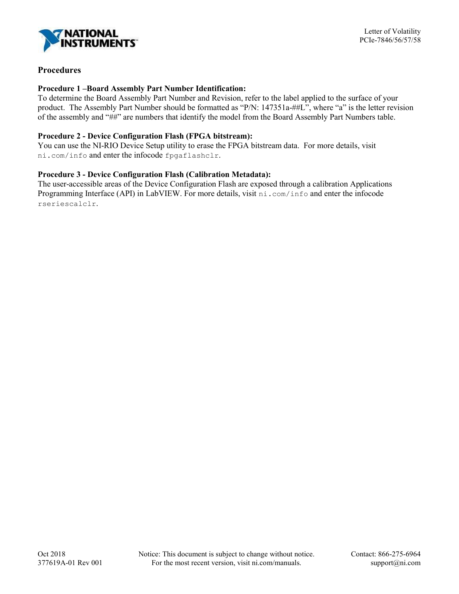

## Procedures

### Procedure 1 –Board Assembly Part Number Identification:

To determine the Board Assembly Part Number and Revision, refer to the label applied to the surface of your product. The Assembly Part Number should be formatted as "P/N: 147351a-##L", where "a" is the letter revision of the assembly and "##" are numbers that identify the model from the Board Assembly Part Numbers table.

## Procedure 2 - Device Configuration Flash (FPGA bitstream):

You can use the NI-RIO Device Setup utility to erase the FPGA bitstream data. For more details, visit ni.com/info and enter the infocode fpgaflashclr.

### Procedure 3 - Device Configuration Flash (Calibration Metadata):

The user-accessible areas of the Device Configuration Flash are exposed through a calibration Applications Programming Interface (API) in LabVIEW. For more details, visit ni.com/info and enter the infocode rseriescalclr.